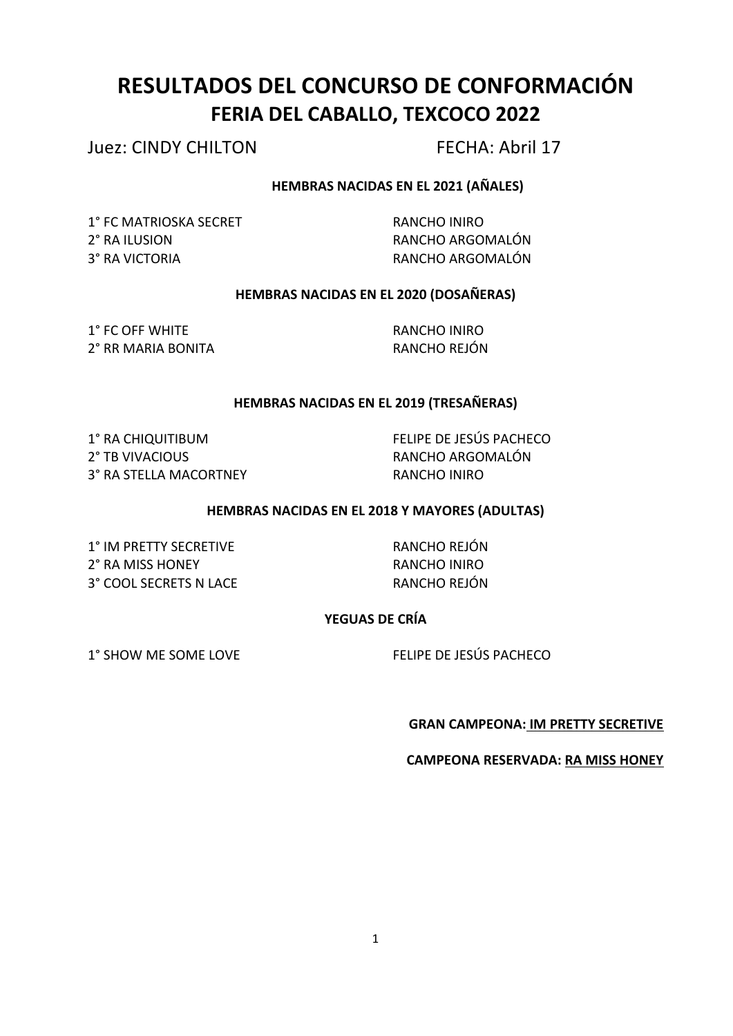# **RESULTADOS DEL CONCURSO DE CONFORMACIÓN FERIA DEL CABALLO, TEXCOCO 2022**

Juez: CINDY CHILTON FECHA: Abril 17

# **HEMBRAS NACIDAS EN EL 2021 (AÑALES)**

1° FC MATRIOSKA SECRET RANCHO INIRO 2° RA ILUSION **RANCHO ARGOMALÓN** 3º RA VICTORIA **RANCHO ARGOMALÓN** 

# **HEMBRAS NACIDAS EN EL 2020 (DOSAÑERAS)**

1° FC OFF WHITE RANCHO INIRO 2° RR MARIA BONITA RANCHO REJÓN

# **HEMBRAS NACIDAS EN EL 2019 (TRESAÑERAS)**

2° TB VIVACIOUS **Example 2°** TB VIVACIOUS 3° RA STELLA MACORTNEY RANCHO INIRO

1° RA CHIQUITIBUM **FELIPE DE JESÚS PACHECO** 

# **HEMBRAS NACIDAS EN EL 2018 Y MAYORES (ADULTAS)**

1° IM PRETTY SECRETIVE RANCHO REJÓN 2° RA MISS HONEY **RANCHO INIRO** 3° COOL SECRETS N LACE RANCHO REJÓN

# **YEGUAS DE CRÍA**

1° SHOW ME SOME LOVE FELIPE DE JESÚS PACHECO

# **GRAN CAMPEONA: IM PRETTY SECRETIVE**

**CAMPEONA RESERVADA: RA MISS HONEY**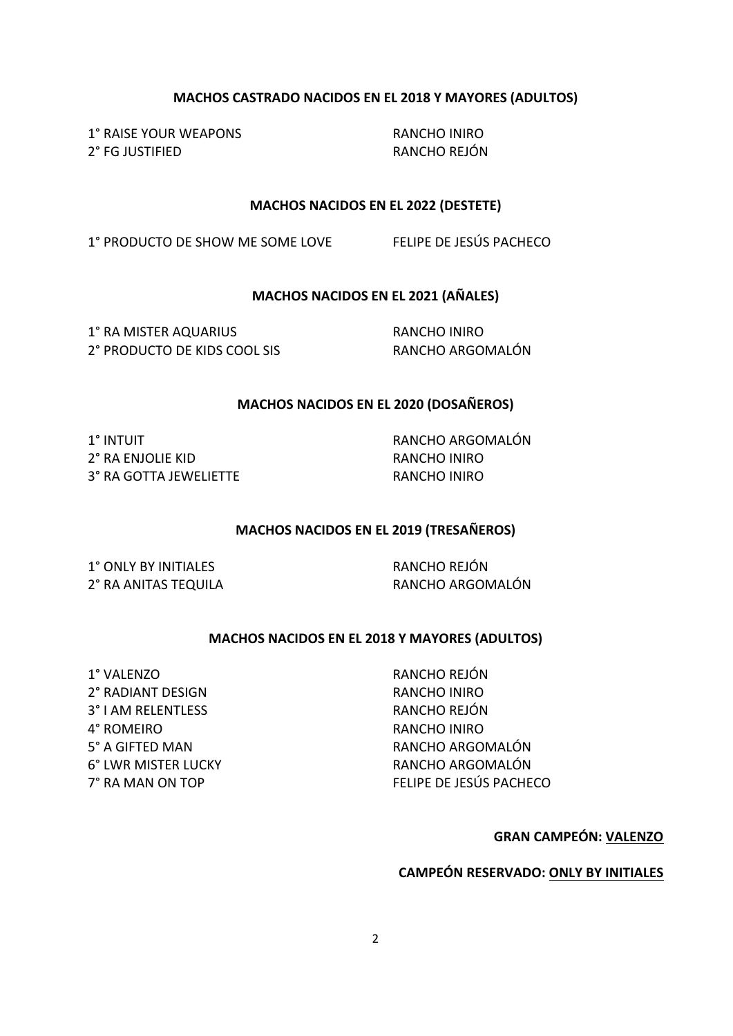#### **MACHOS CASTRADO NACIDOS EN EL 2018 Y MAYORES (ADULTOS)**

1° RAISE YOUR WEAPONS RANCHO INIRO 2° FG JUSTIFIED RANCHO REJÓN

#### **MACHOS NACIDOS EN EL 2022 (DESTETE)**

1° PRODUCTO DE SHOW ME SOME LOVE FELIPE DE JESÚS PACHECO

**MACHOS NACIDOS EN EL 2021 (AÑALES)** 

1° RA MISTER AQUARIUS RANCHO INIRO 2° PRODUCTO DE KIDS COOL SIS RANCHO ARGOMALÓN

#### **MACHOS NACIDOS EN EL 2020 (DOSAÑEROS)**

1° INTUIT RANCHO ARGOMALÓN 2° RA ENJOLIE KID **EXAMPLE AND**RANCHO INIRO 3° RA GOTTA JEWELIETTE RANCHO INIRO

#### **MACHOS NACIDOS EN EL 2019 (TRESAÑEROS)**

1° ONLY BY INITIALES RANCHO REJÓN

2° RA ANITAS TEQUILA RANCHO ARGOMALÓN

#### **MACHOS NACIDOS EN EL 2018 Y MAYORES (ADULTOS)**

1º VALENZO RANCHO REJÓN 2° RADIANT DESIGN RANCHO INIRO 3° I AM RELENTLESS RANCHO REJÓN 4° ROMEIRO **RANCHO** INIRO

5° A GIFTED MAN **RANCHO ARGOMALÓN** 6° LWR MISTER LUCKY **Example 20 SEAN CHO ARGOMALÓN** 7° RA MAN ON TOP FELIPE DE JESÚS PACHECO

**GRAN CAMPEÓN: VALENZO**

# **CAMPEÓN RESERVADO: ONLY BY INITIALES**